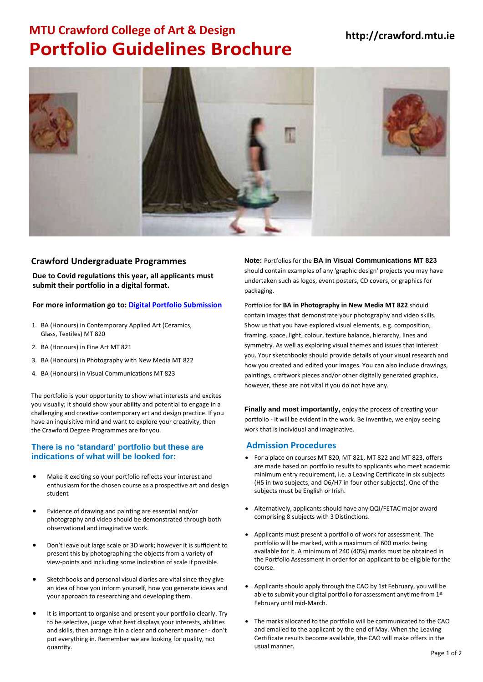## **MTU http://crawford.mtu.ie Crawford College of Art & Design Portfolio Guidelines Brochure**



#### **Crawford Undergraduate Programmes 2022**

**Due to Covid regulations this year, all applicants must submit their portfolio in a digital format.** 

#### **For more information go to[: Digital Portfolio Submission](https://crawford.cit.ie/how-to-apply/)**

- 1. BA (Honours) in Contemporary Applied Art (Ceramics, Glass, Textiles) MT 820
- 2. BA (Honours) in Fine Art MT 821
- 3. BA (Honours) in Photography with New Media MT 822
- 4. BA (Honours) in Visual Communications MT 823

The portfolio is your opportunity to show what interests and excites you visually; it should show your ability and potential to engage in a challenging and creative contemporary art and design practice. If you have an inquisitive mind and want to explore your creativity, then the Crawford Degree Programmes are for you.

#### **There is no 'standard' portfolio but these are indications of what will be looked for:**

- Make it exciting so your portfolio reflects your interest and enthusiasm for the chosen course as a prospective art and design student
- Evidence of drawing and painting are essential and/or photography and video should be demonstrated through both observational and imaginative work.
- Don't leave out large scale or 3D work; however it is sufficient to present this by photographing the objects from a variety of view-points and including some indication of scale if possible.
- Sketchbooks and personal visual diaries are vital since they give an idea of how you inform yourself, how you generate ideas and your approach to researching and developing them.
- It is important to organise and present your portfolio clearly. Try to be selective, judge what best displays your interests, abilities and skills, then arrange it in a clear and coherent manner - don't put everything in. Remember we are looking for quality, not quantity.

**Note Portfolios for the A in Visual Communications MT 823** should contain examples of any 'graphic design' projects you may have undertaken such as logos, event posters, CD covers, or packaging.

#### **Note: Portfolios for BA in Photography in New Media MT 822**

should contain images that demonstrate your photography and video skills. Show us that you have explored visual elements, e.g. composition, framing, space, light, colour, texture balance, hierarchy, lines and symmetry. As well as exploring visual themes and issues that interest you. Your sketchbooks should provide details of your visual research and how you created and edited your images. You can also include drawings, paintings, craftwork pieces and/or other digitally generated graphics, however, these are not vital if you do not have any.

**Finally and most importantly,** enjoy the process of creating your portfolio - it will be evident in the work. Be inventive, we enjoy seeing work that is individual and imaginative.

#### **Admission Procedures**

- For a place on courses MT 820, MT 821, MT 822 and MT 823, offers are made based on portfolio results to applicants who meet academic minimum entry requirement, i.e. a Leaving Certificate in six subjects (H5 in two subjects, and O6/H7 in four other subjects). One of the subjects must be English or Irish.
- Alternatively, applicants should have any QQI/FETAC major award comprising 8 subjects with 3 Distinctions.
- Applicants must present a portfolio of work for assessment. The portfolio will be marked, with a maximum of 600 marks being available for it. A minimum of 240 (40%) marks must be obtained in the Portfolio Assessment in order for an applicant to be eligible for the course.
- Applicants should apply through the CAO by 1st February, you will be able to submit your digital portfolio for assessment anytime from 1st February until mid-March.
- The marks allocated to the portfolio will be communicated to the CAO and emailed to the applicant by the end of May. When the Leaving Certificate results become available, the CAO will make offers in the usual manner.